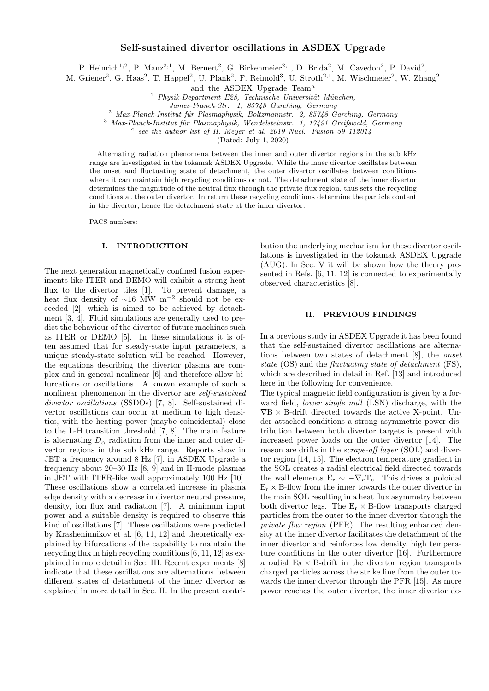# Self-sustained divertor oscillations in ASDEX Upgrade

P. Heinrich<sup>1,2</sup>, P. Manz<sup>2,1</sup>, M. Bernert<sup>2</sup>, G. Birkenmeier<sup>2,1</sup>, D. Brida<sup>2</sup>, M. Cavedon<sup>2</sup>, P. David<sup>2</sup>,

M. Griener<sup>2</sup>, G. Haas<sup>2</sup>, T. Happel<sup>2</sup>, U. Plank<sup>2</sup>, F. Reimold<sup>3</sup>, U. Stroth<sup>2,1</sup>, M. Wischmeier<sup>2</sup>, W. Zhang<sup>2</sup>

and the ASDEX Upgrade  $Team<sup>a</sup>$ 

 $1$  Physik-Department E28, Technische Universität München,

James-Franck-Str. 1, 85748 Garching, Germany

<sup>2</sup> Max-Planck-Institut für Plasmaphysik, Boltzmannstr. 2, 85748 Garching, Germany

 $3$  Max-Planck-Institut für Plasmaphysik, Wendelsteinstr. 1, 17491 Greifswald, Germany

 $a$  see the author list of H. Meyer et al. 2019 Nucl. Fusion 59 112014

(Dated: July 1, 2020)

Alternating radiation phenomena between the inner and outer divertor regions in the sub kHz range are investigated in the tokamak ASDEX Upgrade. While the inner divertor oscillates between the onset and fluctuating state of detachment, the outer divertor oscillates between conditions where it can maintain high recycling conditions or not. The detachment state of the inner divertor determines the magnitude of the neutral flux through the private flux region, thus sets the recycling conditions at the outer divertor. In return these recycling conditions determine the particle content in the divertor, hence the detachment state at the inner divertor.

PACS numbers:

## I. INTRODUCTION

The next generation magnetically confined fusion experiments like ITER and DEMO will exhibit a strong heat flux to the divertor tiles [\[1\]](#page-7-0). To prevent damage, a heat flux density of ∼16 MW m<sup>−</sup><sup>2</sup> should not be exceeded [\[2\]](#page-7-1), which is aimed to be achieved by detachment [\[3,](#page-7-2) [4\]](#page-7-3). Fluid simulations are generally used to predict the behaviour of the divertor of future machines such as ITER or DEMO [\[5\]](#page-8-0). In these simulations it is often assumed that for steady-state input parameters, a unique steady-state solution will be reached. However, the equations describing the divertor plasma are complex and in general nonlinear [\[6\]](#page-8-1) and therefore allow bifurcations or oscillations. A known example of such a nonlinear phenomenon in the divertor are self-sustained divertor oscillations (SSDOs) [\[7,](#page-8-2) [8\]](#page-8-3). Self-sustained divertor oscillations can occur at medium to high densities, with the heating power (maybe coincidental) close to the L-H transition threshold [\[7,](#page-8-2) [8\]](#page-8-3). The main feature is alternating  $D_{\alpha}$  radiation from the inner and outer divertor regions in the sub kHz range. Reports show in JET a frequency around 8 Hz [\[7\]](#page-8-2), in ASDEX Upgrade a frequency about 20–30 Hz [\[8,](#page-8-3) [9\]](#page-8-4) and in H-mode plasmas in JET with ITER-like wall approximately 100 Hz [\[10\]](#page-8-5). These oscillations show a correlated increase in plasma edge density with a decrease in divertor neutral pressure, density, ion flux and radiation [\[7\]](#page-8-2). A minimum input power and a suitable density is required to observe this kind of oscillations [\[7\]](#page-8-2). These oscillations were predicted by Krasheninnikov et al. [\[6,](#page-8-1) [11,](#page-8-6) [12\]](#page-8-7) and theoretically explained by bifurcations of the capability to maintain the recycling flux in high recycling conditions [\[6,](#page-8-1) [11,](#page-8-6) [12\]](#page-8-7) as explained in more detail in Sec. [III.](#page-1-0) Recent experiments [\[8\]](#page-8-3) indicate that these oscillations are alternations between different states of detachment of the inner divertor as explained in more detail in Sec. [II.](#page-0-0) In the present contribution the underlying mechanism for these divertor oscillations is investigated in the tokamak ASDEX Upgrade (AUG). In Sec. [V](#page-3-0) it will be shown how the theory presented in Refs. [\[6,](#page-8-1) [11,](#page-8-6) [12\]](#page-8-7) is connected to experimentally observed characteristics [\[8\]](#page-8-3).

## <span id="page-0-0"></span>II. PREVIOUS FINDINGS

In a previous study in ASDEX Upgrade it has been found that the self-sustained divertor oscillations are alternations between two states of detachment [\[8\]](#page-8-3), the onset state (OS) and the *fluctuating state of detachment* (FS), which are described in detail in Ref. [\[13\]](#page-8-8) and introduced here in the following for convenience.

The typical magnetic field configuration is given by a forward field, lower single null (LSN) discharge, with the  $\nabla B \times B$ -drift directed towards the active X-point. Under attached conditions a strong asymmetric power distribution between both divertor targets is present with increased power loads on the outer divertor [\[14\]](#page-8-9). The reason are drifts in the scrape-off layer (SOL) and divertor region [\[14,](#page-8-9) [15\]](#page-8-10). The electron temperature gradient in the SOL creates a radial electrical field directed towards the wall elements  $E_r \sim -\nabla_r T_e$ . This drives a poloidal  $E_r \times B$ -flow from the inner towards the outer divertor in the main SOL resulting in a heat flux asymmetry between both divertor legs. The  $E_r \times B$ -flow transports charged particles from the outer to the inner divertor through the private flux region (PFR). The resulting enhanced density at the inner divertor facilitates the detachment of the inner divertor and reinforces low density, high temperature conditions in the outer divertor [\[16\]](#page-8-11). Furthermore a radial  $E_{\theta} \times B$ -drift in the divertor region transports charged particles across the strike line from the outer towards the inner divertor through the PFR [\[15\]](#page-8-10). As more power reaches the outer divertor, the inner divertor de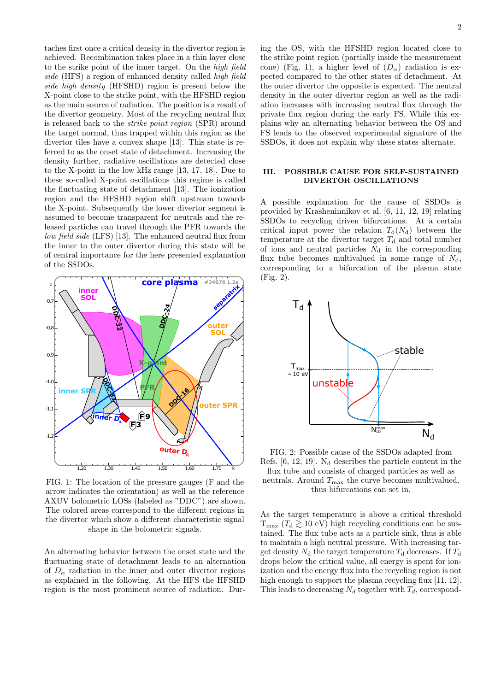taches first once a critical density in the divertor region is achieved. Recombination takes place in a thin layer close to the strike point of the inner target. On the high field side (HFS) a region of enhanced density called high field side high density (HFSHD) region is present below the X-point close to the strike point, with the HFSHD region as the main source of radiation. The position is a result of the divertor geometry. Most of the recycling neutral flux is released back to the strike point region (SPR) around the target normal, thus trapped within this region as the divertor tiles have a convex shape [\[13\]](#page-8-8). This state is referred to as the onset state of detachment. Increasing the density further, radiative oscillations are detected close to the X-point in the low kHz range [\[13,](#page-8-8) [17,](#page-8-12) [18\]](#page-8-13). Due to these so-called X-point oscillations this regime is called the fluctuating state of detachment [\[13\]](#page-8-8). The ionization region and the HFSHD region shift upstream towards the X-point. Subsequently the lower divertor segment is assumed to become transparent for neutrals and the released particles can travel through the PFR towards the low field side (LFS) [\[13\]](#page-8-8). The enhanced neutral flux from the inner to the outer divertor during this state will be of central importance for the here presented explanation of the SSDOs.

<span id="page-1-1"></span>

FIG. 1: The location of the pressure gauges (F and the arrow indicates the orientation) as well as the reference AXUV bolometric LOSs (labeled as "DDC") are shown. The colored areas correspond to the different regions in the divertor which show a different characteristic signal shape in the bolometric signals.

An alternating behavior between the onset state and the fluctuating state of detachment leads to an alternation of  $D_{\alpha}$  radiation in the inner and outer divertor regions as explained in the following. At the HFS the HFSHD region is the most prominent source of radiation. Dur-

## <span id="page-1-0"></span>III. POSSIBLE CAUSE FOR SELF-SUSTAINED DIVERTOR OSCILLATIONS

FS leads to the observed experimental signature of the SSDOs, it does not explain why these states alternate.

A possible explanation for the cause of SSDOs is provided by Krasheninnikov et al. [\[6,](#page-8-1) [11,](#page-8-6) [12,](#page-8-7) [19\]](#page-8-14) relating SSDOs to recycling driven bifurcations. At a certain critical input power the relation  $T_d(N_d)$  between the temperature at the divertor target  $T_{\rm d}$  and total number of ions and neutral particles  $N_{\rm d}$  in the corresponding flux tube becomes multivalued in some range of  $N_d$ , corresponding to a bifurcation of the plasma state (Fig. [2\)](#page-1-2).

<span id="page-1-2"></span>

FIG. 2: Possible cause of the SSDOs adapted from Refs.  $[6, 12, 19]$  $[6, 12, 19]$  $[6, 12, 19]$ . N<sub>d</sub> describes the particle content in the flux tube and consists of charged particles as well as neutrals. Around  $T_{\text{max}}$  the curve becomes multivalued, thus bifurcations can set in.

As the target temperature is above a critical threshold  $T_{\text{max}}$  ( $T_d \gtrsim 10 \text{ eV}$ ) high recycling conditions can be sustained. The flux tube acts as a particle sink, thus is able to maintain a high neutral pressure. With increasing target density  $N_d$  the target temperature  $T_d$  decreases. If  $T_d$ drops below the critical value, all energy is spent for ionization and the energy flux into the recycling region is not high enough to support the plasma recycling flux [\[11,](#page-8-6) [12\]](#page-8-7). This leads to decreasing  $N_d$  together with  $T_d$ , correspond-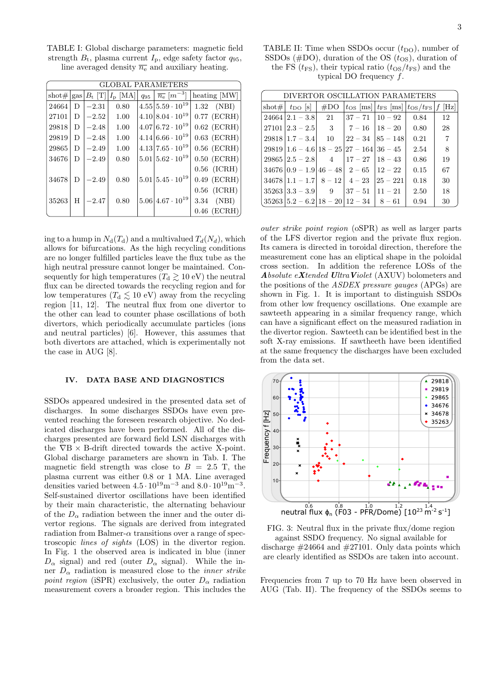<span id="page-2-0"></span>TABLE I: Global discharge parameters: magnetic field strength  $B_t$ , plasma current  $I_p$ , edge safety factor  $q_{95}$ , line averaged density  $\overline{n_e}$  and auxiliary heating.

| <b>GLOBAL PARAMETERS</b> |   |         |                                                                |          |                                          |                    |  |  |  |  |  |
|--------------------------|---|---------|----------------------------------------------------------------|----------|------------------------------------------|--------------------|--|--|--|--|--|
| $\frac{1}{2}$            |   |         | $\operatorname{gas} B_{\mathrm{t}} $ [T] $I_{\mathrm{p}}$ [MA] | $q_{95}$ | $\overline{n_{e}}$ $\left[m^{-3}\right]$ | heating [MW]       |  |  |  |  |  |
| 24664                    | D | $-2.31$ | 0.80                                                           |          | $4.55 5.59 \cdot 10^{19}$                | $1.32 \quad (NBI)$ |  |  |  |  |  |
| 27101                    | D | $-2.52$ | 1.00                                                           |          | $4.10 8.04 \cdot 10^{19}$                | $0.77$ (ECRH)      |  |  |  |  |  |
| 29818                    | D | $-2.48$ | 1.00                                                           |          | $4.07 6.72 \cdot 10^{19}$                | $0.62$ (ECRH)      |  |  |  |  |  |
| 29819                    | D | $-2.48$ | 1.00                                                           |          | $4.14 6.66 \cdot 10^{19}$                | $0.63$ (ECRH)      |  |  |  |  |  |
| 29865                    | D | $-2.49$ | 1.00                                                           |          | $4.13 7.65 \cdot 10^{19}$                | $0.56$ (ECRH)      |  |  |  |  |  |
| 34676                    | D | $-2.49$ | 0.80                                                           |          | $5.01 5.62 \cdot 10^{19}$                | $0.50$ (ECRH)      |  |  |  |  |  |
|                          |   |         |                                                                |          |                                          | $0.56$ (ICRH)      |  |  |  |  |  |
| 34678                    | D | $-2.49$ | 0.80                                                           |          | $5.01 5.45 \cdot 10^{19}$                | $0.49$ (ECRH)      |  |  |  |  |  |
|                          |   |         |                                                                |          |                                          | $0.56$ (ICRH)      |  |  |  |  |  |
| 35263                    | H | $-2.47$ | 0.80                                                           |          | $5.06 4.67\cdot10^{19}$                  | 3.34 (NBI)         |  |  |  |  |  |
|                          |   |         |                                                                |          |                                          | $0.46$ (ECRH)      |  |  |  |  |  |

ing to a hump in  $N_d(T_d)$  and a multivalued  $T_d(N_d)$ , which allows for bifurcations. As the high recycling conditions are no longer fulfilled particles leave the flux tube as the high neutral pressure cannot longer be maintained. Consequently for high temperatures ( $T_d \gtrsim 10 \text{ eV}$ ) the neutral flux can be directed towards the recycling region and for low temperatures ( $T_d \lesssim 10 \text{ eV}$ ) away from the recycling region [\[11,](#page-8-6) [12\]](#page-8-7). The neutral flux from one divertor to the other can lead to counter phase oscillations of both divertors, which periodically accumulate particles (ions and neutral particles) [\[6\]](#page-8-1). However, this assumes that both divertors are attached, which is experimentally not the case in AUG [\[8\]](#page-8-3).

# IV. DATA BASE AND DIAGNOSTICS

SSDOs appeared undesired in the presented data set of discharges. In some discharges SSDOs have even prevented reaching the foreseen research objective. No dedicated discharges have been performed. All of the discharges presented are forward field LSN discharges with the  $\nabla B \times B$ -drift directed towards the active X-point. Global discharge parameters are shown in Tab. [I.](#page-2-0) The magnetic field strength was close to  $B = 2.5$  T, the plasma current was either 0.8 or 1 MA. Line averaged densities varied between  $4.5 \cdot 10^{19} \text{m}^{-3}$  and  $8.0 \cdot 10^{19} \text{m}^{-3}$ . Self-sustained divertor oscillations have been identified by their main characteristic, the alternating behaviour of the  $D_{\alpha}$  radiation between the inner and the outer divertor regions. The signals are derived from integrated radiation from Balmer- $\alpha$  transitions over a range of spectroscopic lines of sights (LOS) in the divertor region. In Fig. [1](#page-1-1) the observed area is indicated in blue (inner  $D_{\alpha}$  signal) and red (outer  $D_{\alpha}$  signal). While the inner  $D_{\alpha}$  radiation is measured close to the *inner strike* point region (iSPR) exclusively, the outer  $D_{\alpha}$  radiation measurement covers a broader region. This includes the

<span id="page-2-1"></span>TABLE II: Time when SSDOs occur  $(t_{\text{DO}})$ , number of SSDOs ( $#$ DO), duration of the OS  $(t_{OS})$ , duration of the FS ( $t_{\text{FS}}$ ), their typical ratio ( $t_{\text{OS}}/t_{\text{FS}}$ ) and the typical DO frequency  $f$ .

| DIVERTOR OSCILLATION PARAMETERS |                                                                |  |                                                                                      |                        |      |    |  |  |  |  |
|---------------------------------|----------------------------------------------------------------|--|--------------------------------------------------------------------------------------|------------------------|------|----|--|--|--|--|
|                                 | shot# $t_{\text{DO}}$ [s] $\mid$ #DO                           |  | $ t_{\text{OS}} $ [ms] $ t_{\text{FS}} $ [ms] $ t_{\text{OS}}/t_{\text{FS}} f $ [Hz] |                        |      |    |  |  |  |  |
|                                 | $24664 2.1 - 3.8 $ 21 $ 37 - 71 10 - 92 $ 0.84                 |  |                                                                                      |                        |      | 12 |  |  |  |  |
|                                 | $27101   2.3 - 2.5  $ 3   $7 - 16   18 - 20  $ 0.80            |  |                                                                                      |                        |      | 28 |  |  |  |  |
|                                 | $29818 1.7 - 3.4 $ 10                                          |  |                                                                                      | $22 - 34$ $ 85 - 148 $ | 0.21 | -7 |  |  |  |  |
|                                 | $29819 \mid 1.6 - 4.6 \mid 18 - 25 \mid 27 - 164 \mid 36 - 45$ |  |                                                                                      |                        | 2.54 | 8  |  |  |  |  |
|                                 | $29865 2.5 - 2.8 $ 4 $ 17 - 27 18 - 43$                        |  |                                                                                      |                        | 0.86 | 19 |  |  |  |  |
|                                 | $34676   0.9 - 1.9   46 - 48   2 - 65   12 - 22$               |  |                                                                                      |                        | 0.15 | 67 |  |  |  |  |
|                                 | $34678 1.1 - 1.7 8 - 12 4 - 23$                                |  |                                                                                      | $ 25 - 221 $           | 0.18 | 30 |  |  |  |  |
|                                 | $35263 3.3-3.9 $ 9 $ 37-51 11-21$                              |  |                                                                                      |                        | 2.50 | 18 |  |  |  |  |
|                                 | $35263   5.2 - 6.2   18 - 20   12 - 34   8 - 61$               |  |                                                                                      |                        | 0.94 | 30 |  |  |  |  |

outer strike point region (oSPR) as well as larger parts of the LFS divertor region and the private flux region. Its camera is directed in toroidal direction, therefore the measurement cone has an eliptical shape in the poloidal cross section. In addition the reference LOSs of the Absolute  $eXtended$  Ultra Violet (AXUV) bolometers and the positions of the ASDEX pressure gauges (APGs) are shown in Fig. [1.](#page-1-1) It is important to distinguish SSDOs from other low frequency oscillations. One example are sawteeth appearing in a similar frequency range, which can have a significant effect on the measured radiation in the divertor region. Sawteeth can be identified best in the soft X-ray emissions. If sawtheeth have been identified at the same frequency the discharges have been excluded from the data set.

<span id="page-2-2"></span>

FIG. 3: Neutral flux in the private flux/dome region against SSDO frequency. No signal available for discharge  $\#24664$  and  $\#27101$ . Only data points which are clearly identified as SSDOs are taken into account.

Frequencies from 7 up to 70 Hz have been observed in AUG (Tab. [II\)](#page-2-1). The frequency of the SSDOs seems to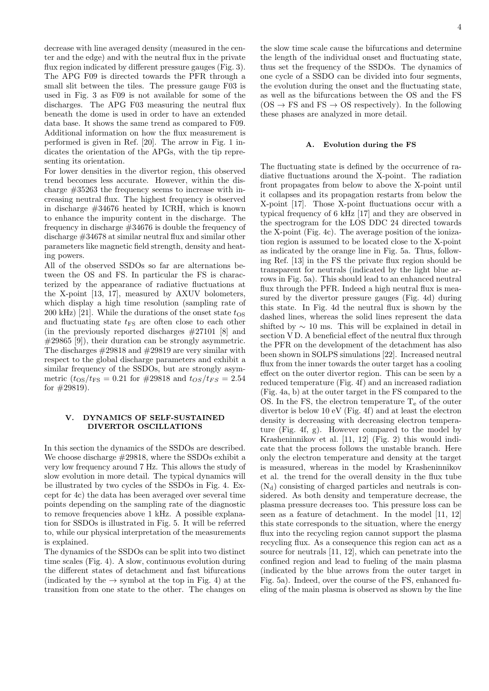decrease with line averaged density (measured in the center and the edge) and with the neutral flux in the private flux region indicated by different pressure gauges (Fig. [3\)](#page-2-2). The APG F09 is directed towards the PFR through a small slit between the tiles. The pressure gauge F03 is used in Fig. [3](#page-2-2) as F09 is not available for some of the discharges. The APG F03 measuring the neutral flux beneath the dome is used in order to have an extended data base. It shows the same trend as compared to F09. Additional information on how the flux measurement is performed is given in Ref. [\[20\]](#page-8-15). The arrow in Fig. [1](#page-1-1) indicates the orientation of the APGs, with the tip representing its orientation.

For lower densities in the divertor region, this observed trend becomes less accurate. However, within the discharge #35263 the frequency seems to increase with increasing neutral flux. The highest frequency is observed in discharge #34676 heated by ICRH, which is known to enhance the impurity content in the discharge. The frequency in discharge #34676 is double the frequency of discharge #34678 at similar neutral flux and similar other parameters like magnetic field strength, density and heating powers.

All of the observed SSDOs so far are alternations between the OS and FS. In particular the FS is characterized by the appearance of radiative fluctuations at the X-point [\[13,](#page-8-8) [17\]](#page-8-12), measured by AXUV bolometers, which display a high time resolution (sampling rate of 200 kHz) [\[21\]](#page-8-16). While the durations of the onset state  $t_{OS}$ and fluctuating state  $t_{\text{FS}}$  are often close to each other (in the previously reported discharges #27101 [\[8\]](#page-8-3) and  $\#29865$  [\[9\]](#page-8-4)), their duration can be strongly asymmetric. The discharges #29818 and #29819 are very similar with respect to the global discharge parameters and exhibit a similar frequency of the SSDOs, but are strongly asymmetric  $(t_{OS}/t_{FS} = 0.21$  for #29818 and  $t_{OS}/t_{FS} = 2.54$ for  $\#29819$ .

# <span id="page-3-0"></span>V. DYNAMICS OF SELF-SUSTAINED DIVERTOR OSCILLATIONS

In this section the dynamics of the SSDOs are described. We choose discharge #29818, where the SSDOs exhibit a very low frequency around 7 Hz. This allows the study of slow evolution in more detail. The typical dynamics will be illustrated by two cycles of the SSDOs in Fig. [4.](#page-4-0) Except for [4c](#page-4-0)) the data has been averaged over several time points depending on the sampling rate of the diagnostic to remove frequencies above 1 kHz. A possible explanation for SSDOs is illustrated in Fig. [5.](#page-5-0) It will be referred to, while our physical interpretation of the measurements is explained.

The dynamics of the SSDOs can be split into two distinct time scales (Fig. [4\)](#page-4-0). A slow, continuous evolution during the different states of detachment and fast bifurcations (indicated by the  $\rightarrow$  symbol at the top in Fig. [4\)](#page-4-0) at the transition from one state to the other. The changes on

the slow time scale cause the bifurcations and determine the length of the individual onset and fluctuating state, thus set the frequency of the SSDOs. The dynamics of one cycle of a SSDO can be divided into four segments, the evolution during the onset and the fluctuating state, as well as the bifurcations between the OS and the FS  $OS \rightarrow FS$  and  $FS \rightarrow OS$  respectively). In the following these phases are analyzed in more detail.

#### A. Evolution during the FS

The fluctuating state is defined by the occurrence of radiative fluctuations around the X-point. The radiation front propagates from below to above the X-point until it collapses and its propagation restarts from below the X-point [\[17\]](#page-8-12). Those X-point fluctuations occur with a typical frequency of 6 kHz [\[17\]](#page-8-12) and they are observed in the spectrogram for the LOS DDC 24 directed towards the X-point (Fig. [4c](#page-4-0)). The average position of the ionization region is assumed to be located close to the X-point as indicated by the orange line in Fig. [5a](#page-5-0). Thus, following Ref. [\[13\]](#page-8-8) in the FS the private flux region should be transparent for neutrals (indicated by the light blue arrows in Fig. [5a](#page-5-0)). This should lead to an enhanced neutral flux through the PFR. Indeed a high neutral flux is measured by the divertor pressure gauges (Fig. [4d](#page-4-0)) during this state. In Fig. [4d](#page-4-0) the neutral flux is shown by the dashed lines, whereas the solid lines represent the data shifted by  $\sim$  10 ms. This will be explained in detail in section [V D.](#page-6-0) A beneficial effect of the neutral flux through the PFR on the development of the detachment has also been shown in SOLPS simulations [\[22\]](#page-8-17). Increased neutral flux from the inner towards the outer target has a cooling effect on the outer divertor region. This can be seen by a reduced temperature (Fig. [4f](#page-4-0)) and an increased radiation (Fig. [4a](#page-4-0), b) at the outer target in the FS compared to the OS. In the FS, the electron temperature  $T_e$  of the outer divertor is below 10 eV (Fig. [4f](#page-4-0)) and at least the electron density is decreasing with decreasing electron temperature (Fig. [4f](#page-4-0), g). However compared to the model by Krasheninnikov et al. [\[11,](#page-8-6) [12\]](#page-8-7) (Fig. [2\)](#page-1-2) this would indicate that the process follows the unstable branch. Here only the electron temperature and density at the target is measured, whereas in the model by Krasheninnikov et al. the trend for the overall density in the flux tube  $(N_d)$  consisting of charged particles and neutrals is considered. As both density and temperature decrease, the plasma pressure decreases too. This pressure loss can be seen as a feature of detachment. In the model [\[11,](#page-8-6) [12\]](#page-8-7) this state corresponds to the situation, where the energy flux into the recycling region cannot support the plasma recycling flux. As a consequence this region can act as a source for neutrals [\[11,](#page-8-6) [12\]](#page-8-7), which can penetrate into the confined region and lead to fueling of the main plasma (indicated by the blue arrows from the outer target in Fig. [5a](#page-5-0)). Indeed, over the course of the FS, enhanced fueling of the main plasma is observed as shown by the line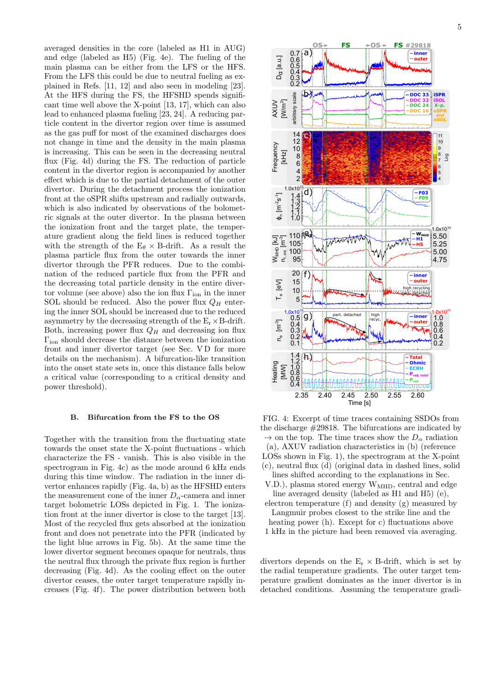averaged densities in the core (labeled as H1 in AUG) and edge (labeled as H5) (Fig. [4e](#page-4-0)). The fueling of the main plasma can be either from the LFS or the HFS. From the LFS this could be due to neutral fueling as explained in Refs. [\[11,](#page-8-6) [12\]](#page-8-7) and also seen in modeling [\[23\]](#page-8-18). At the HFS during the FS, the HFSHD spends significant time well above the X-point [\[13,](#page-8-8) [17\]](#page-8-12), which can also lead to enhanced plasma fueling [\[23,](#page-8-18) [24\]](#page-8-19). A reducing particle content in the divertor region over time is assumed as the gas puff for most of the examined discharges does not change in time and the density in the main plasma is increasing. This can be seen in the decreasing neutral flux (Fig. [4d](#page-4-0)) during the FS. The reduction of particle content in the divertor region is accompanied by another effect which is due to the partial detachment of the outer divertor. During the detachment process the ionization front at the oSPR shifts upstream and radially outwards, which is also indicated by observations of the bolometric signals at the outer divertor. In the plasma between the ionization front and the target plate, the temperature gradient along the field lines is reduced together with the strength of the  $E_{\theta} \times B$ -drift. As a result the plasma particle flux from the outer towards the inner divertor through the PFR reduces. Due to the combination of the reduced particle flux from the PFR and the decreasing total particle density in the entire divertor volume (see above) also the ion flux  $\Gamma_{\text{ion}}$  in the inner SOL should be reduced. Also the power flux  $Q_H$  entering the inner SOL should be increased due to the reduced asymmetry by the decreasing strength of the  $E_r \times B$ -drift. Both, increasing power flux  $Q_H$  and decreasing ion flux Γion should decrease the distance between the ionization front and inner divertor target (see Sec. VD for more details on the mechanism). A bifurcation-like transition into the onset state sets in, once this distance falls below a critical value (corresponding to a critical density and power threshold).

## B. Bifurcation from the FS to the OS

Together with the transition from the fluctuating state towards the onset state the X-point fluctuations - which characterize the FS - vanish. This is also visible in the spectrogram in Fig. [4c](#page-4-0)) as the mode around 6 kHz ends during this time window. The radiation in the inner divertor enhances rapidly (Fig. [4a](#page-4-0), b) as the HFSHD enters the measurement cone of the inner  $D_{\alpha}$ -camera and inner target bolometric LOSs depicted in Fig. [1.](#page-1-1) The ionization front at the inner divertor is close to the target [\[13\]](#page-8-8). Most of the recycled flux gets absorbed at the ionization front and does not penetrate into the PFR (indicated by the light blue arrows in Fig. [5b](#page-5-0)). At the same time the lower divertor segment becomes opaque for neutrals, thus the neutral flux through the private flux region is further decreasing (Fig. [4d](#page-4-0)). As the cooling effect on the outer divertor ceases, the outer target temperature rapidly increases (Fig. [4f](#page-4-0)). The power distribution between both

<span id="page-4-0"></span>

FIG. 4: Excerpt of time traces containing SSDOs from the discharge  $\#29818$ . The bifurcations are indicated by  $\rightarrow$  on the top. The time traces show the  $D_{\alpha}$  radiation (a), AXUV radiation characteristics in (b) (reference LOSs shown in Fig. [1\)](#page-1-1), the spectrogram at the X-point (c), neutral flux (d) (original data in dashed lines, solid lines shifted according to the explanations in Sec.

- [V.D.\)](#page-6-0), plasma stored energy W<sub>MHD</sub>, central and edge line averaged density (labeled as H1 and H5) (e),
- electron temperature (f) and density (g) measured by Langmuir probes closest to the strike line and the heating power (h). Except for c) fluctuations above
- 1 kHz in the picture had been removed via averaging.

divertors depends on the  $E_r \times B$ -drift, which is set by the radial temperature gradients. The outer target temperature gradient dominates as the inner divertor is in detached conditions. Assuming the temperature gradi-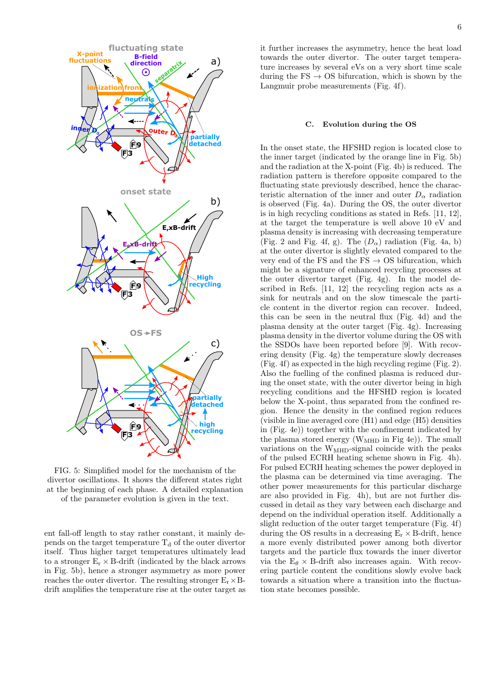<span id="page-5-0"></span>

FIG. 5: Simplified model for the mechanism of the divertor oscillations. It shows the different states right at the beginning of each phase. A detailed explanation of the parameter evolution is given in the text.

ent fall-off length to stay rather constant, it mainly depends on the target temperature  $T_d$  of the outer divertor itself. Thus higher target temperatures ultimately lead to a stronger  $E_r \times B$ -drift (indicated by the black arrows in Fig. [5b](#page-5-0)), hence a stronger asymmetry as more power reaches the outer divertor. The resulting stronger  $E_r \times B$ drift amplifies the temperature rise at the outer target as it further increases the asymmetry, hence the heat load towards the outer divertor. The outer target temperature increases by several eVs on a very short time scale during the  $FS \rightarrow OS$  bifurcation, which is shown by the Langmuir probe measurements (Fig. [4f](#page-4-0)).

## C. Evolution during the OS

In the onset state, the HFSHD region is located close to the inner target (indicated by the orange line in Fig. [5b](#page-5-0)) and the radiation at the X-point (Fig. [4b](#page-4-0)) is reduced. The radiation pattern is therefore opposite compared to the fluctuating state previously described, hence the characteristic alternation of the inner and outer  $D_{\alpha}$  radiation is observed (Fig. [4a](#page-4-0)). During the OS, the outer divertor is in high recycling conditions as stated in Refs. [\[11,](#page-8-6) [12\]](#page-8-7), at the target the temperature is well above 10 eV and plasma density is increasing with decreasing temperature (Fig. [2](#page-1-2) and Fig. [4f](#page-4-0), g). The  $(D_{\alpha})$  radiation (Fig. [4a](#page-4-0), b) at the outer divertor is slightly elevated compared to the very end of the FS and the FS  $\rightarrow$  OS bifurcation, which might be a signature of enhanced recycling processes at the outer divertor target (Fig. [4g](#page-4-0)). In the model described in Refs. [\[11,](#page-8-6) [12\]](#page-8-7) the recycling region acts as a sink for neutrals and on the slow timescale the particle content in the divertor region can recover. Indeed, this can be seen in the neutral flux (Fig. [4d](#page-4-0)) and the plasma density at the outer target (Fig. [4g](#page-4-0)). Increasing plasma density in the divertor volume during the OS with the SSDOs have been reported before [\[9\]](#page-8-4). With recovering density (Fig. [4g](#page-4-0)) the temperature slowly decreases (Fig. [4f](#page-4-0)) as expected in the high recycling regime (Fig. [2\)](#page-1-2). Also the fuelling of the confined plasma is reduced during the onset state, with the outer divertor being in high recycling conditions and the HFSHD region is located below the X-point, thus separated from the confined region. Hence the density in the confined region reduces (visible in line averaged core (H1) and edge (H5) densities in (Fig. [4e](#page-4-0))) together with the confinement indicated by the plasma stored energy ( $W<sub>MHD</sub>$  in Fig [4e](#page-4-0))). The small variations on the  $W<sub>MHD</sub>$ -signal coincide with the peaks of the pulsed ECRH heating scheme shown in Fig. [4h](#page-4-0)). For pulsed ECRH heating schemes the power deployed in the plasma can be determined via time averaging. The other power measurements for this particular discharge are also provided in Fig. [4h](#page-4-0)), but are not further discussed in detail as they vary between each discharge and depend on the individual operation itself. Additionally a slight reduction of the outer target temperature (Fig. [4f](#page-4-0)) during the OS results in a decreasing  $E_r \times B$ -drift, hence a more evenly distributed power among both divertor targets and the particle flux towards the inner divertor via the  $E_\theta \times B$ -drift also increases again. With recovering particle content the conditions slowly evolve back towards a situation where a transition into the fluctuation state becomes possible.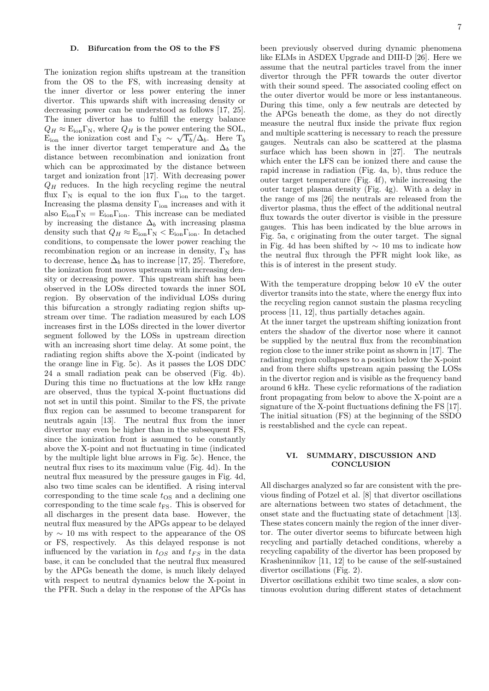## <span id="page-6-0"></span>D. Bifurcation from the OS to the FS

The ionization region shifts upstream at the transition from the OS to the FS, with increasing density at the inner divertor or less power entering the inner divertor. This upwards shift with increasing density or decreasing power can be understood as follows [\[17,](#page-8-12) [25\]](#page-8-20). The inner divertor has to fulfill the energy balance  $Q_H \approx E_{\text{ion}} \Gamma_{\text{N}}$ , where  $Q_H$  is the power entering the SOL, E<sub>ion</sub> the ionization cost and  $\Gamma_{N} \sim \sqrt{\Gamma_{b}}/\Delta_{b}$ . Here  $T_{b}$ is the inner divertor target temperature and  $\Delta_b$  the distance between recombination and ionization front which can be approximated by the distance between target and ionization front [\[17\]](#page-8-12). With decreasing power  $Q_H$  reduces. In the high recycling regime the neutral flux  $\Gamma_N$  is equal to the ion flux  $\Gamma_{\text{ion}}$  to the target. Increasing the plasma density  $\Gamma_{\text{ion}}$  increases and with it also  $E_{ion} \Gamma_N = E_{ion} \Gamma_{ion}$ . This increase can be mediated by increasing the distance  $\Delta_b$  with increasing plasma density such that  $Q_H \approx E_{\text{ion}} \Gamma_{\text{N}} < E_{\text{ion}} \Gamma_{\text{ion}}$ . In detached conditions, to compensate the lower power reaching the recombination region or an increase in density,  $\Gamma_N$  has to decrease, hence  $\Delta_b$  has to increase [\[17,](#page-8-12) [25\]](#page-8-20). Therefore, the ionization front moves upstream with increasing density or decreasing power. This upstream shift has been observed in the LOSs directed towards the inner SOL region. By observation of the individual LOSs during this bifurcation a strongly radiating region shifts upstream over time. The radiation measured by each LOS increases first in the LOSs directed in the lower divertor segment followed by the LOSs in upstream direction with an increasing short time delay. At some point, the radiating region shifts above the X-point (indicated by the orange line in Fig. [5c](#page-5-0)). As it passes the LOS DDC 24 a small radiation peak can be observed (Fig. [4b](#page-4-0)). During this time no fluctuations at the low kHz range are observed, thus the typical X-point fluctuations did not set in until this point. Similar to the FS, the private flux region can be assumed to become transparent for neutrals again [\[13\]](#page-8-8). The neutral flux from the inner divertor may even be higher than in the subsequent FS, since the ionization front is assumed to be constantly above the X-point and not fluctuating in time (indicated by the multiple light blue arrows in Fig. [5c](#page-5-0)). Hence, the neutral flux rises to its maximum value (Fig. [4d](#page-4-0)). In the neutral flux measured by the pressure gauges in Fig. [4d](#page-4-0), also two time scales can be identified. A rising interval corresponding to the time scale  $t_{\text{OS}}$  and a declining one corresponding to the time scale  $t_{\text{FS}}$ . This is observed for all discharges in the present data base. However, the neutral flux measured by the APGs appear to be delayed by ∼ 10 ms with respect to the appearance of the OS or FS, respectively. As this delayed response is not influenced by the variation in  $t_{OS}$  and  $t_{FS}$  in the data base, it can be concluded that the neutral flux measured by the APGs beneath the dome, is much likely delayed with respect to neutral dynamics below the X-point in the PFR. Such a delay in the response of the APGs has

been previously observed during dynamic phenomena like ELMs in ASDEX Upgrade and DIII-D [\[26\]](#page-8-21). Here we assume that the neutral particles travel from the inner divertor through the PFR towards the outer divertor with their sound speed. The associated cooling effect on the outer divertor would be more or less instantaneous. During this time, only a few neutrals are detected by the APGs beneath the dome, as they do not directly measure the neutral flux inside the private flux region and multiple scattering is necessary to reach the pressure gauges. Neutrals can also be scattered at the plasma surface which has been shown in [\[27\]](#page-8-22). The neutrals which enter the LFS can be ionized there and cause the rapid increase in radiation (Fig. [4a](#page-4-0), b), thus reduce the outer target temperature (Fig. [4f](#page-4-0)), while increasing the outer target plasma density (Fig. [4g](#page-4-0)). With a delay in the range of ms [\[26\]](#page-8-21) the neutrals are released from the divertor plasma, thus the effect of the additional neutral flux towards the outer divertor is visible in the pressure gauges. This has been indicated by the blue arrows in Fig. [5a](#page-5-0), c originating from the outer target. The signal in Fig. [4d](#page-4-0) has been shifted by  $\sim$  10 ms to indicate how the neutral flux through the PFR might look like, as this is of interest in the present study.

With the temperature dropping below 10 eV the outer divertor transits into the state, where the energy flux into the recycling region cannot sustain the plasma recycling process [\[11,](#page-8-6) [12\]](#page-8-7), thus partially detaches again.

At the inner target the upstream shifting ionization front enters the shadow of the divertor nose where it cannot be supplied by the neutral flux from the recombination region close to the inner strike point as shown in [\[17\]](#page-8-12). The radiating region collapses to a position below the X-point and from there shifts upstream again passing the LOSs in the divertor region and is visible as the frequency band around 6 kHz. These cyclic reformations of the radiation front propagating from below to above the X-point are a signature of the X-point fluctuations defining the FS [\[17\]](#page-8-12). The initial situation (FS) at the beginning of the SSDO is reestablished and the cycle can repeat.

## VI. SUMMARY, DISCUSSION AND **CONCLUSION**

All discharges analyzed so far are consistent with the previous finding of Potzel et al. [\[8\]](#page-8-3) that divertor oscillations are alternations between two states of detachment, the onset state and the fluctuating state of detachment [\[13\]](#page-8-8). These states concern mainly the region of the inner divertor. The outer divertor seems to bifurcate between high recycling and partially detached conditions, whereby a recycling capability of the divertor has been proposed by Krasheninnikov [\[11,](#page-8-6) [12\]](#page-8-7) to be cause of the self-sustained divertor oscillations (Fig. [2\)](#page-1-2).

Divertor oscillations exhibit two time scales, a slow continuous evolution during different states of detachment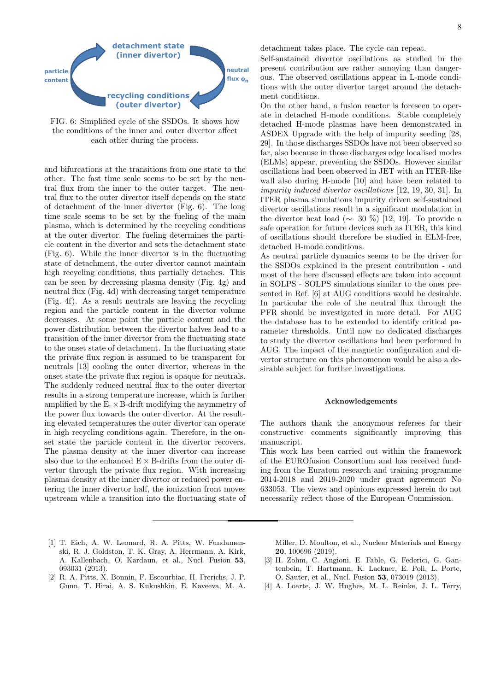<span id="page-7-4"></span>

FIG. 6: Simplified cycle of the SSDOs. It shows how the conditions of the inner and outer divertor affect each other during the process.

and bifurcations at the transitions from one state to the other. The fast time scale seems to be set by the neutral flux from the inner to the outer target. The neutral flux to the outer divertor itself depends on the state of detachment of the inner divertor (Fig. [6\)](#page-7-4). The long time scale seems to be set by the fueling of the main plasma, which is determined by the recycling conditions at the outer divertor. The fueling determines the particle content in the divertor and sets the detachment state (Fig. [6\)](#page-7-4). While the inner divertor is in the fluctuating state of detachment, the outer divertor cannot maintain high recycling conditions, thus partially detaches. This can be seen by decreasing plasma density (Fig. [4g](#page-4-0)) and neutral flux (Fig. [4d](#page-4-0)) with decreasing target temperature (Fig. [4f](#page-4-0)). As a result neutrals are leaving the recycling region and the particle content in the divertor volume decreases. At some point the particle content and the power distribution between the divertor halves lead to a transition of the inner divertor from the fluctuating state to the onset state of detachment. In the fluctuating state the private flux region is assumed to be transparent for neutrals [\[13\]](#page-8-8) cooling the outer divertor, whereas in the onset state the private flux region is opaque for neutrals. The suddenly reduced neutral flux to the outer divertor results in a strong temperature increase, which is further amplified by the  $E_r \times B$ -drift modifying the asymmetry of the power flux towards the outer divertor. At the resulting elevated temperatures the outer divertor can operate in high recycling conditions again. Therefore, in the onset state the particle content in the divertor recovers. The plasma density at the inner divertor can increase also due to the enhanced  $E \times B$ -drifts from the outer divertor through the private flux region. With increasing plasma density at the inner divertor or reduced power entering the inner divertor half, the ionization front moves upstream while a transition into the fluctuating state of

- <span id="page-7-0"></span>[1] T. Eich, A. W. Leonard, R. A. Pitts, W. Fundamenski, R. J. Goldston, T. K. Gray, A. Herrmann, A. Kirk, A. Kallenbach, O. Kardaun, et al., Nucl. Fusion 53, 093031 (2013).
- <span id="page-7-1"></span>[2] R. A. Pitts, X. Bonnin, F. Escourbiac, H. Frerichs, J. P. Gunn, T. Hirai, A. S. Kukushkin, E. Kaveeva, M. A.

detachment takes place. The cycle can repeat.

Self-sustained divertor oscillations as studied in the present contribution are rather annoying than dangerous. The observed oscillations appear in L-mode conditions with the outer divertor target around the detachment conditions.

On the other hand, a fusion reactor is foreseen to operate in detached H-mode conditions. Stable completely detached H-mode plasmas have been demonstrated in ASDEX Upgrade with the help of impurity seeding [\[28,](#page-8-23) [29\]](#page-8-24). In those discharges SSDOs have not been observed so far, also because in those discharges edge localised modes (ELMs) appear, preventing the SSDOs. However similar oscillations had been observed in JET with an ITER-like wall also during H-mode [\[10\]](#page-8-5) and have been related to impurity induced divertor oscillations [\[12,](#page-8-7) [19,](#page-8-14) [30,](#page-8-25) [31\]](#page-8-26). In ITER plasma simulations impurity driven self-sustained divertor oscillations result in a significant modulation in the divertor heat load ( $\sim$  30 %) [\[12,](#page-8-7) [19\]](#page-8-14). To provide a safe operation for future devices such as ITER, this kind of oscillations should therefore be studied in ELM-free, detached H-mode conditions.

As neutral particle dynamics seems to be the driver for the SSDOs explained in the present contribution - and most of the here discussed effects are taken into account in SOLPS - SOLPS simulations similar to the ones presented in Ref. [\[6\]](#page-8-1) at AUG conditions would be desirable. In particular the role of the neutral flux through the PFR should be investigated in more detail. For AUG the database has to be extended to identify critical parameter thresholds. Until now no dedicated discharges to study the divertor oscillations had been performed in AUG. The impact of the magnetic configuration and divertor structure on this phenomenon would be also a desirable subject for further investigations.

## Acknowledgements

The authors thank the anonymous referees for their constructive comments significantly improving this manuscript.

This work has been carried out within the framework of the EUROfusion Consortium and has received funding from the Euratom research and training programme 2014-2018 and 2019-2020 under grant agreement No 633053. The views and opinions expressed herein do not necessarily reflect those of the European Commission.

Miller, D. Moulton, et al., Nuclear Materials and Energy 20, 100696 (2019).

- <span id="page-7-2"></span>[3] H. Zohm, C. Angioni, E. Fable, G. Federici, G. Gantenbein, T. Hartmann, K. Lackner, E. Poli, L. Porte, O. Sauter, et al., Nucl. Fusion 53, 073019 (2013).
- <span id="page-7-3"></span>[4] A. Loarte, J. W. Hughes, M. L. Reinke, J. L. Terry,